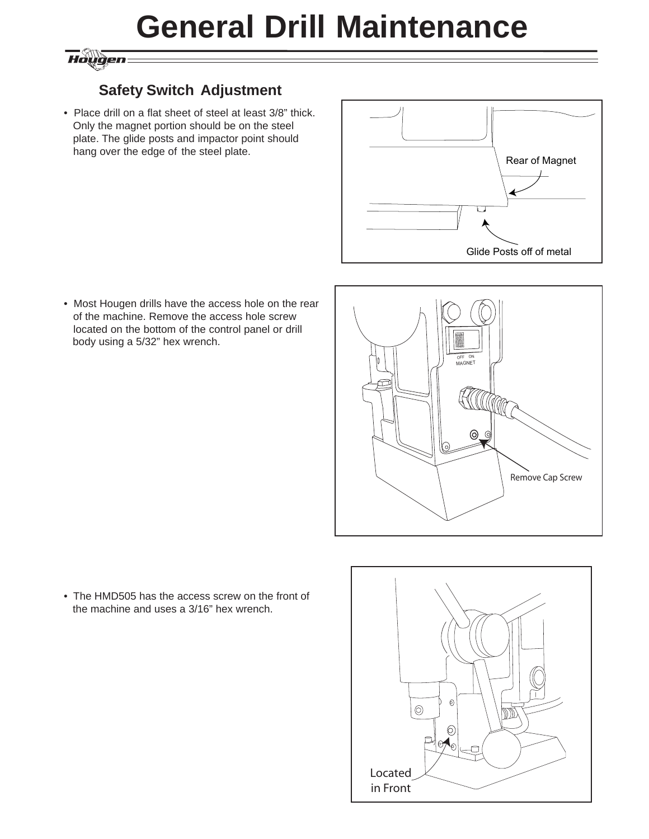## **General Drill Maintenance**

### Hougen

### **Safety Switch Adjustment**

• Place drill on a flat sheet of steel at least 3/8" thick. Only the magnet portion should be on the steel plate. The glide posts and impactor point should hang over the edge of the steel plate.



• Most Hougen drills have the access hole on the rear of the machine. Remove the access hole screw located on the bottom of the control panel or drill body using a 5/32" hex wrench.



• The HMD505 has the access screw on the front of the machine and uses a 3/16" hex wrench.